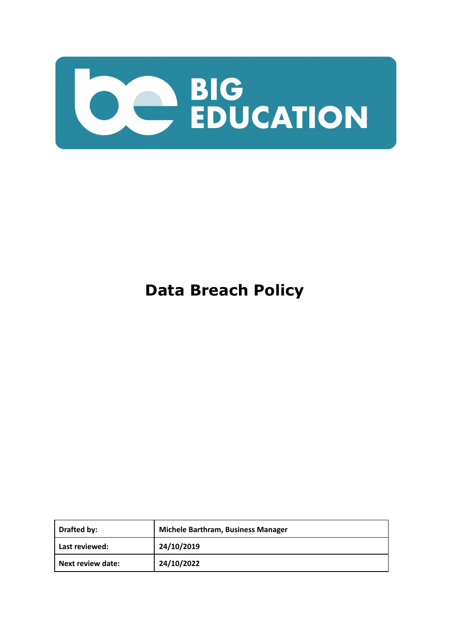

# **Data Breach Policy**

| Drafted by:              | Michele Barthram, Business Manager |
|--------------------------|------------------------------------|
| Last reviewed:           | 24/10/2019                         |
| <b>Next review date:</b> | 24/10/2022                         |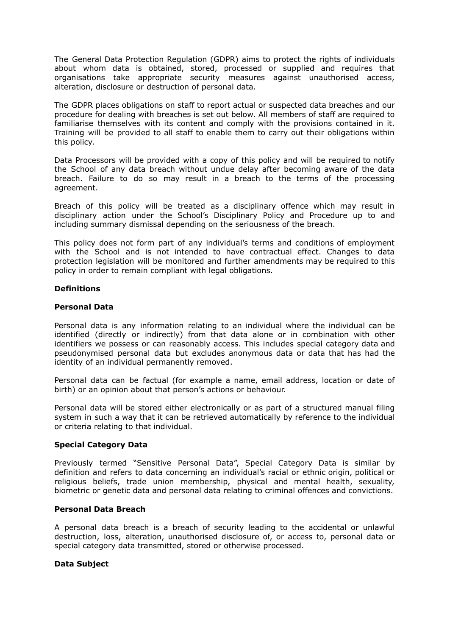The General Data Protection Regulation (GDPR) aims to protect the rights of individuals about whom data is obtained, stored, processed or supplied and requires that organisations take appropriate security measures against unauthorised access, alteration, disclosure or destruction of personal data.

The GDPR places obligations on staff to report actual or suspected data breaches and our procedure for dealing with breaches is set out below. All members of staff are required to familiarise themselves with its content and comply with the provisions contained in it. Training will be provided to all staff to enable them to carry out their obligations within this policy.

Data Processors will be provided with a copy of this policy and will be required to notify the School of any data breach without undue delay after becoming aware of the data breach. Failure to do so may result in a breach to the terms of the processing agreement.

Breach of this policy will be treated as a disciplinary offence which may result in disciplinary action under the School's Disciplinary Policy and Procedure up to and including summary dismissal depending on the seriousness of the breach.

This policy does not form part of any individual's terms and conditions of employment with the School and is not intended to have contractual effect. Changes to data protection legislation will be monitored and further amendments may be required to this policy in order to remain compliant with legal obligations.

# **Definitions**

## **Personal Data**

Personal data is any information relating to an individual where the individual can be identified (directly or indirectly) from that data alone or in combination with other identifiers we possess or can reasonably access. This includes special category data and pseudonymised personal data but excludes anonymous data or data that has had the identity of an individual permanently removed.

Personal data can be factual (for example a name, email address, location or date of birth) or an opinion about that person's actions or behaviour.

Personal data will be stored either electronically or as part of a structured manual filing system in such a way that it can be retrieved automatically by reference to the individual or criteria relating to that individual.

## **Special Category Data**

Previously termed "Sensitive Personal Data", Special Category Data is similar by definition and refers to data concerning an individual's racial or ethnic origin, political or religious beliefs, trade union membership, physical and mental health, sexuality, biometric or genetic data and personal data relating to criminal offences and convictions.

## **Personal Data Breach**

A personal data breach is a breach of security leading to the accidental or unlawful destruction, loss, alteration, unauthorised disclosure of, or access to, personal data or special category data transmitted, stored or otherwise processed.

## **Data Subject**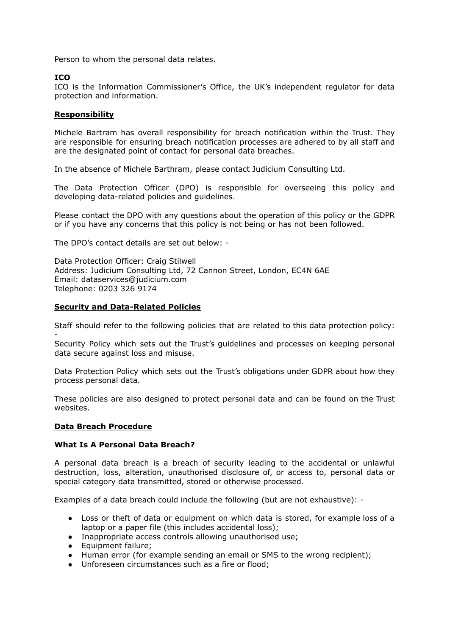Person to whom the personal data relates.

## **ICO**

ICO is the Information Commissioner's Office, the UK's independent regulator for data protection and information.

## **Responsibility**

Michele Bartram has overall responsibility for breach notification within the Trust. They are responsible for ensuring breach notification processes are adhered to by all staff and are the designated point of contact for personal data breaches.

In the absence of Michele Barthram, please contact Judicium Consulting Ltd.

The Data Protection Officer (DPO) is responsible for overseeing this policy and developing data-related policies and guidelines.

Please contact the DPO with any questions about the operation of this policy or the GDPR or if you have any concerns that this policy is not being or has not been followed.

The DPO's contact details are set out below: -

Data Protection Officer: Craig Stilwell Address: Judicium Consulting Ltd, 72 Cannon Street, London, EC4N 6AE Email: [dataservices@judicium.com](mailto:dataservices@judicium.com) Telephone: 0203 326 9174

# **Security and Data-Related Policies**

Staff should refer to the following policies that are related to this data protection policy: -

Security Policy which sets out the Trust's guidelines and processes on keeping personal data secure against loss and misuse.

Data Protection Policy which sets out the Trust's obligations under GDPR about how they process personal data.

These policies are also designed to protect personal data and can be found on the Trust websites.

## **Data Breach Procedure**

## **What Is A Personal Data Breach?**

A personal data breach is a breach of security leading to the accidental or unlawful destruction, loss, alteration, unauthorised disclosure of, or access to, personal data or special category data transmitted, stored or otherwise processed.

Examples of a data breach could include the following (but are not exhaustive): -

- Loss or theft of data or equipment on which data is stored, for example loss of a laptop or a paper file (this includes accidental loss);
- Inappropriate access controls allowing unauthorised use;
- Equipment failure;
- Human error (for example sending an email or SMS to the wrong recipient);
- Unforeseen circumstances such as a fire or flood;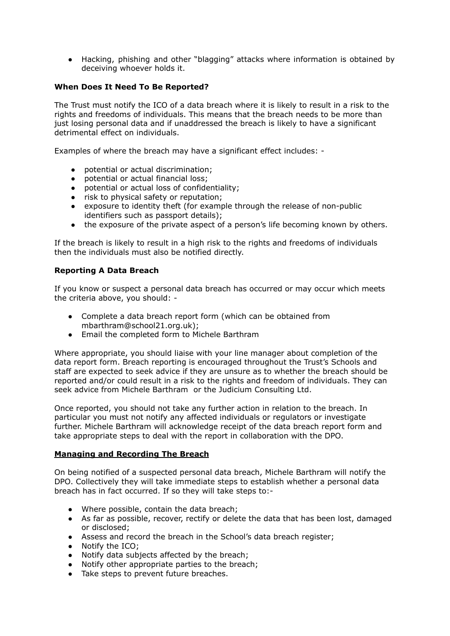● Hacking, phishing and other "blagging" attacks where information is obtained by deceiving whoever holds it.

# **When Does It Need To Be Reported?**

The Trust must notify the ICO of a data breach where it is likely to result in a risk to the rights and freedoms of individuals. This means that the breach needs to be more than just losing personal data and if unaddressed the breach is likely to have a significant detrimental effect on individuals.

Examples of where the breach may have a significant effect includes: -

- potential or actual discrimination;
- potential or actual financial loss;
- potential or actual loss of confidentiality;
- risk to physical safety or reputation;
- exposure to identity theft (for example through the release of non-public identifiers such as passport details);
- the exposure of the private aspect of a person's life becoming known by others.

If the breach is likely to result in a high risk to the rights and freedoms of individuals then the individuals must also be notified directly.

# **Reporting A Data Breach**

If you know or suspect a personal data breach has occurred or may occur which meets the criteria above, you should: -

- Complete a data breach report form (which can be obtained from mbarthram@school21.org.uk);
- Email the completed form to Michele Barthram

Where appropriate, you should liaise with your line manager about completion of the data report form. Breach reporting is encouraged throughout the Trust's Schools and staff are expected to seek advice if they are unsure as to whether the breach should be reported and/or could result in a risk to the rights and freedom of individuals. They can seek advice from Michele Barthram or the Judicium Consulting Ltd.

Once reported, you should not take any further action in relation to the breach. In particular you must not notify any affected individuals or regulators or investigate further. Michele Barthram will acknowledge receipt of the data breach report form and take appropriate steps to deal with the report in collaboration with the DPO.

## **Managing and Recording The Breach**

On being notified of a suspected personal data breach, Michele Barthram will notify the DPO. Collectively they will take immediate steps to establish whether a personal data breach has in fact occurred. If so they will take steps to:-

- Where possible, contain the data breach;
- As far as possible, recover, rectify or delete the data that has been lost, damaged or disclosed;
- Assess and record the breach in the School's data breach register;
- Notify the ICO;
- Notify data subjects affected by the breach;
- Notify other appropriate parties to the breach;
- Take steps to prevent future breaches.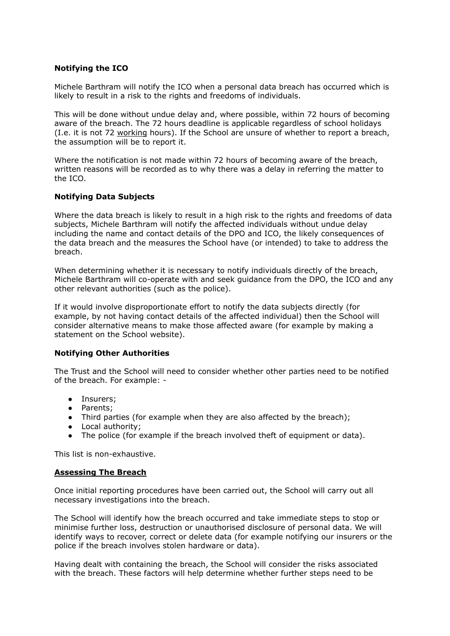# **Notifying the ICO**

Michele Barthram will notify the ICO when a personal data breach has occurred which is likely to result in a risk to the rights and freedoms of individuals.

This will be done without undue delay and, where possible, within 72 hours of becoming aware of the breach. The 72 hours deadline is applicable regardless of school holidays (I.e. it is not 72 working hours). If the School are unsure of whether to report a breach, the assumption will be to report it.

Where the notification is not made within 72 hours of becoming aware of the breach, written reasons will be recorded as to why there was a delay in referring the matter to the ICO.

# **Notifying Data Subjects**

Where the data breach is likely to result in a high risk to the rights and freedoms of data subjects, Michele Barthram will notify the affected individuals without undue delay including the name and contact details of the DPO and ICO, the likely consequences of the data breach and the measures the School have (or intended) to take to address the breach.

When determining whether it is necessary to notify individuals directly of the breach, Michele Barthram will co-operate with and seek guidance from the DPO, the ICO and any other relevant authorities (such as the police).

If it would involve disproportionate effort to notify the data subjects directly (for example, by not having contact details of the affected individual) then the School will consider alternative means to make those affected aware (for example by making a statement on the School website).

## **Notifying Other Authorities**

The Trust and the School will need to consider whether other parties need to be notified of the breach. For example: -

- Insurers;
- Parents;
- Third parties (for example when they are also affected by the breach);
- Local authority;
- The police (for example if the breach involved theft of equipment or data).

This list is non-exhaustive.

## **Assessing The Breach**

Once initial reporting procedures have been carried out, the School will carry out all necessary investigations into the breach.

The School will identify how the breach occurred and take immediate steps to stop or minimise further loss, destruction or unauthorised disclosure of personal data. We will identify ways to recover, correct or delete data (for example notifying our insurers or the police if the breach involves stolen hardware or data).

Having dealt with containing the breach, the School will consider the risks associated with the breach. These factors will help determine whether further steps need to be